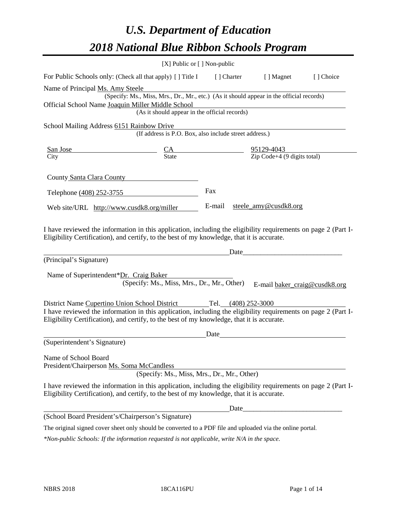# *U.S. Department of Education 2018 National Blue Ribbon Schools Program*

|                                                                                                                                                                                                              | [X] Public or [] Non-public                                                              |             |                               |           |
|--------------------------------------------------------------------------------------------------------------------------------------------------------------------------------------------------------------|------------------------------------------------------------------------------------------|-------------|-------------------------------|-----------|
| For Public Schools only: (Check all that apply) [ ] Title I                                                                                                                                                  |                                                                                          | [ ] Charter | [ ] Magnet                    | [] Choice |
| Name of Principal Ms. Amy Steele                                                                                                                                                                             |                                                                                          |             |                               |           |
|                                                                                                                                                                                                              | (Specify: Ms., Miss, Mrs., Dr., Mr., etc.) (As it should appear in the official records) |             |                               |           |
| Official School Name Joaquin Miller Middle School                                                                                                                                                            |                                                                                          |             |                               |           |
|                                                                                                                                                                                                              | (As it should appear in the official records)                                            |             |                               |           |
| School Mailing Address 6151 Rainbow Drive                                                                                                                                                                    |                                                                                          |             |                               |           |
|                                                                                                                                                                                                              | (If address is P.O. Box, also include street address.)                                   |             |                               |           |
| San Jose                                                                                                                                                                                                     |                                                                                          |             |                               |           |
| City                                                                                                                                                                                                         | $\frac{CA}{State}$ $\frac{95129-4043}{Zip Code+4 (9 digits total)}$                      |             |                               |           |
|                                                                                                                                                                                                              |                                                                                          |             |                               |           |
| County Santa Clara County                                                                                                                                                                                    |                                                                                          |             |                               |           |
|                                                                                                                                                                                                              |                                                                                          | Fax         |                               |           |
| Telephone (408) 252-3755                                                                                                                                                                                     |                                                                                          |             |                               |           |
| Web site/URL http://www.cusdk8.org/miller                                                                                                                                                                    |                                                                                          | E-mail      | steele_amy@cusdk8.org         |           |
|                                                                                                                                                                                                              |                                                                                          |             |                               |           |
| Eligibility Certification), and certify, to the best of my knowledge, that it is accurate.<br>(Principal's Signature)                                                                                        |                                                                                          |             | Date                          |           |
|                                                                                                                                                                                                              |                                                                                          |             |                               |           |
| Name of Superintendent*Dr. Craig Baker                                                                                                                                                                       |                                                                                          |             |                               |           |
|                                                                                                                                                                                                              | (Specify: Ms., Miss, Mrs., Dr., Mr., Other)                                              |             | E-mail baker_craig@cusdk8.org |           |
| District Name Cupertino Union School District                                                                                                                                                                |                                                                                          |             | Tel. (408) 252-3000           |           |
| I have reviewed the information in this application, including the eligibility requirements on page 2 (Part I-                                                                                               |                                                                                          |             |                               |           |
| Eligibility Certification), and certify, to the best of my knowledge, that it is accurate.                                                                                                                   |                                                                                          |             |                               |           |
|                                                                                                                                                                                                              |                                                                                          | Date        |                               |           |
| (Superintendent's Signature)                                                                                                                                                                                 |                                                                                          |             |                               |           |
|                                                                                                                                                                                                              |                                                                                          |             |                               |           |
| Name of School Board                                                                                                                                                                                         |                                                                                          |             |                               |           |
| President/Chairperson Ms. Soma McCandless                                                                                                                                                                    |                                                                                          |             |                               |           |
|                                                                                                                                                                                                              | (Specify: Ms., Miss, Mrs., Dr., Mr., Other)                                              |             |                               |           |
| I have reviewed the information in this application, including the eligibility requirements on page 2 (Part I-<br>Eligibility Certification), and certify, to the best of my knowledge, that it is accurate. |                                                                                          |             |                               |           |
|                                                                                                                                                                                                              |                                                                                          |             |                               |           |
| (School Board President's/Chairperson's Signature)                                                                                                                                                           |                                                                                          |             |                               |           |
| The original signed cover sheet only should be converted to a PDF file and uploaded via the online portal.                                                                                                   |                                                                                          |             |                               |           |

*\*Non-public Schools: If the information requested is not applicable, write N/A in the space.*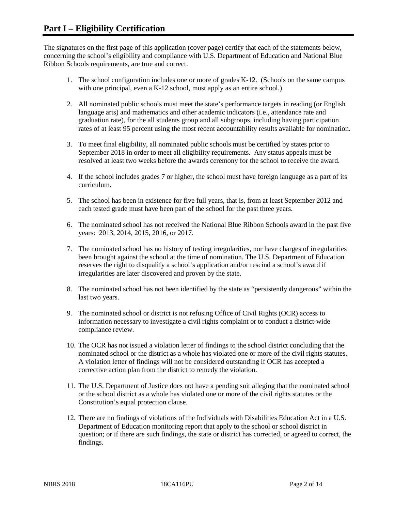The signatures on the first page of this application (cover page) certify that each of the statements below, concerning the school's eligibility and compliance with U.S. Department of Education and National Blue Ribbon Schools requirements, are true and correct.

- 1. The school configuration includes one or more of grades K-12. (Schools on the same campus with one principal, even a K-12 school, must apply as an entire school.)
- 2. All nominated public schools must meet the state's performance targets in reading (or English language arts) and mathematics and other academic indicators (i.e., attendance rate and graduation rate), for the all students group and all subgroups, including having participation rates of at least 95 percent using the most recent accountability results available for nomination.
- 3. To meet final eligibility, all nominated public schools must be certified by states prior to September 2018 in order to meet all eligibility requirements. Any status appeals must be resolved at least two weeks before the awards ceremony for the school to receive the award.
- 4. If the school includes grades 7 or higher, the school must have foreign language as a part of its curriculum.
- 5. The school has been in existence for five full years, that is, from at least September 2012 and each tested grade must have been part of the school for the past three years.
- 6. The nominated school has not received the National Blue Ribbon Schools award in the past five years: 2013, 2014, 2015, 2016, or 2017.
- 7. The nominated school has no history of testing irregularities, nor have charges of irregularities been brought against the school at the time of nomination. The U.S. Department of Education reserves the right to disqualify a school's application and/or rescind a school's award if irregularities are later discovered and proven by the state.
- 8. The nominated school has not been identified by the state as "persistently dangerous" within the last two years.
- 9. The nominated school or district is not refusing Office of Civil Rights (OCR) access to information necessary to investigate a civil rights complaint or to conduct a district-wide compliance review.
- 10. The OCR has not issued a violation letter of findings to the school district concluding that the nominated school or the district as a whole has violated one or more of the civil rights statutes. A violation letter of findings will not be considered outstanding if OCR has accepted a corrective action plan from the district to remedy the violation.
- 11. The U.S. Department of Justice does not have a pending suit alleging that the nominated school or the school district as a whole has violated one or more of the civil rights statutes or the Constitution's equal protection clause.
- 12. There are no findings of violations of the Individuals with Disabilities Education Act in a U.S. Department of Education monitoring report that apply to the school or school district in question; or if there are such findings, the state or district has corrected, or agreed to correct, the findings.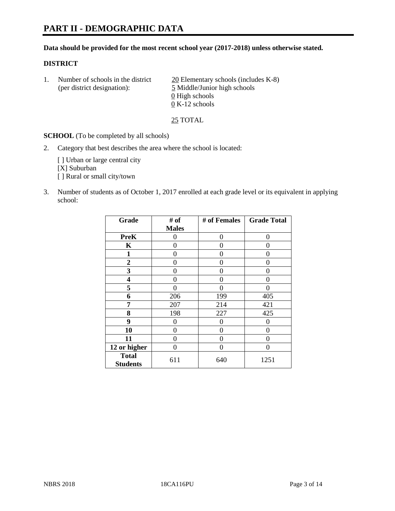# **PART II - DEMOGRAPHIC DATA**

#### **Data should be provided for the most recent school year (2017-2018) unless otherwise stated.**

#### **DISTRICT**

1. Number of schools in the district  $20$  Elementary schools (includes K-8) (per district designation): 5 Middle/Junior high schools  $\underline{0}$  High schools 0 K-12 schools

25 TOTAL

**SCHOOL** (To be completed by all schools)

2. Category that best describes the area where the school is located:

[] Urban or large central city [X] Suburban [] Rural or small city/town

3. Number of students as of October 1, 2017 enrolled at each grade level or its equivalent in applying school:

| Grade                           | # of         | # of Females | <b>Grade Total</b> |
|---------------------------------|--------------|--------------|--------------------|
|                                 | <b>Males</b> |              |                    |
| <b>PreK</b>                     | 0            | 0            | 0                  |
| K                               | 0            | 0            | 0                  |
| $\mathbf{1}$                    | 0            | 0            | 0                  |
| 2                               | 0            | 0            | 0                  |
| 3                               | 0            | 0            | 0                  |
| 4                               | 0            | 0            | 0                  |
| 5                               | 0            | 0            | 0                  |
| 6                               | 206          | 199          | 405                |
| 7                               | 207          | 214          | 421                |
| 8                               | 198          | 227          | 425                |
| 9                               | 0            | 0            | 0                  |
| 10                              | 0            | 0            | 0                  |
| 11                              | 0            | 0            | 0                  |
| 12 or higher                    | 0            | 0            | 0                  |
| <b>Total</b><br><b>Students</b> | 611          | 640          | 1251               |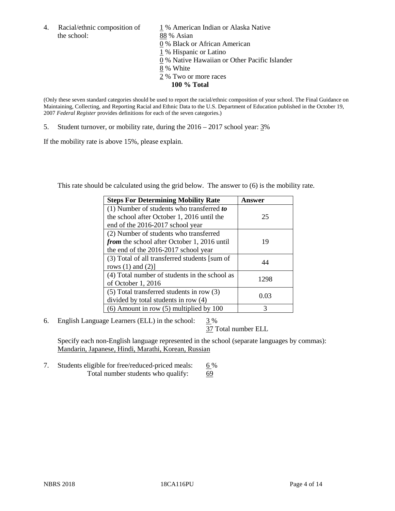the school: 88 % Asian

4. Racial/ethnic composition of  $1\%$  American Indian or Alaska Native 0 % Black or African American 1 % Hispanic or Latino 0 % Native Hawaiian or Other Pacific Islander 8 % White

- 2 % Two or more races
	- **100 % Total**

(Only these seven standard categories should be used to report the racial/ethnic composition of your school. The Final Guidance on Maintaining, Collecting, and Reporting Racial and Ethnic Data to the U.S. Department of Education published in the October 19, 2007 *Federal Register* provides definitions for each of the seven categories.)

5. Student turnover, or mobility rate, during the 2016 – 2017 school year: 3%

If the mobility rate is above 15%, please explain.

This rate should be calculated using the grid below. The answer to (6) is the mobility rate.

| <b>Steps For Determining Mobility Rate</b>         | Answer |
|----------------------------------------------------|--------|
| $(1)$ Number of students who transferred to        |        |
| the school after October 1, 2016 until the         | 25     |
| end of the 2016-2017 school year                   |        |
| (2) Number of students who transferred             |        |
| <i>from</i> the school after October 1, 2016 until | 19     |
| the end of the 2016-2017 school year               |        |
| (3) Total of all transferred students [sum of      | 44     |
| rows $(1)$ and $(2)$ ]                             |        |
| (4) Total number of students in the school as      |        |
| of October 1, 2016                                 | 1298   |
| (5) Total transferred students in row (3)          |        |
| divided by total students in row (4)               | 0.03   |
| $(6)$ Amount in row $(5)$ multiplied by 100        | 3      |

6. English Language Learners (ELL) in the school:  $3\%$ 

37 Total number ELL

Specify each non-English language represented in the school (separate languages by commas): Mandarin, Japanese, Hindi, Marathi, Korean, Russian

7. Students eligible for free/reduced-priced meals: 6% Total number students who qualify: 69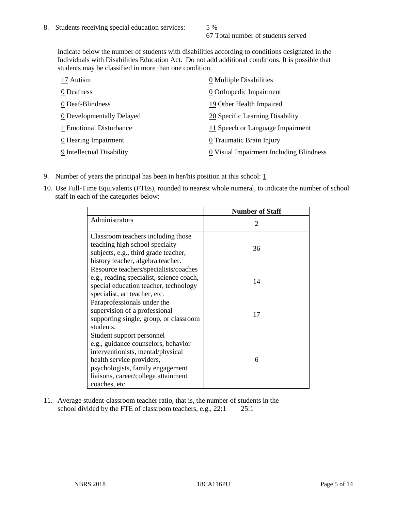67 Total number of students served

Indicate below the number of students with disabilities according to conditions designated in the Individuals with Disabilities Education Act. Do not add additional conditions. It is possible that students may be classified in more than one condition.

| 17 Autism                 | 0 Multiple Disabilities                 |
|---------------------------|-----------------------------------------|
| 0 Deafness                | 0 Orthopedic Impairment                 |
| 0 Deaf-Blindness          | 19 Other Health Impaired                |
| 0 Developmentally Delayed | 20 Specific Learning Disability         |
| 1 Emotional Disturbance   | 11 Speech or Language Impairment        |
| 0 Hearing Impairment      | 0 Traumatic Brain Injury                |
| 9 Intellectual Disability | 0 Visual Impairment Including Blindness |

- 9. Number of years the principal has been in her/his position at this school:  $1$
- 10. Use Full-Time Equivalents (FTEs), rounded to nearest whole numeral, to indicate the number of school staff in each of the categories below:

|                                                                                                                                                                                                                                | <b>Number of Staff</b>      |
|--------------------------------------------------------------------------------------------------------------------------------------------------------------------------------------------------------------------------------|-----------------------------|
| Administrators                                                                                                                                                                                                                 | $\mathcal{D}_{\mathcal{L}}$ |
| Classroom teachers including those<br>teaching high school specialty<br>subjects, e.g., third grade teacher,<br>history teacher, algebra teacher.                                                                              | 36                          |
| Resource teachers/specialists/coaches<br>e.g., reading specialist, science coach,<br>special education teacher, technology<br>specialist, art teacher, etc.                                                                    | 14                          |
| Paraprofessionals under the<br>supervision of a professional<br>supporting single, group, or classroom<br>students.                                                                                                            | 17                          |
| Student support personnel<br>e.g., guidance counselors, behavior<br>interventionists, mental/physical<br>health service providers,<br>psychologists, family engagement<br>liaisons, career/college attainment<br>coaches, etc. | 6                           |

11. Average student-classroom teacher ratio, that is, the number of students in the school divided by the FTE of classroom teachers, e.g., 22:1 25:1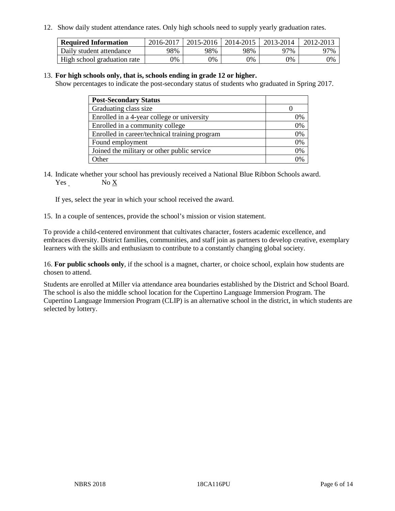12. Show daily student attendance rates. Only high schools need to supply yearly graduation rates.

| <b>Required Information</b> | 2016-2017 | $2015 - 2016$ | 2014-2015 | 2013-2014 | 2012-2013 |
|-----------------------------|-----------|---------------|-----------|-----------|-----------|
| Daily student attendance    | 98%       | 98%           | 98%       | 97%       | 97%       |
| High school graduation rate | 0%        | 0%            | 0%        | 9%        | 0%        |

#### 13. **For high schools only, that is, schools ending in grade 12 or higher.**

Show percentages to indicate the post-secondary status of students who graduated in Spring 2017.

| <b>Post-Secondary Status</b>                  |          |
|-----------------------------------------------|----------|
| Graduating class size                         |          |
| Enrolled in a 4-year college or university    | 0%       |
| Enrolled in a community college               | 0%       |
| Enrolled in career/technical training program | 0%       |
| Found employment                              | 0%       |
| Joined the military or other public service   | 0%       |
| Other                                         | $\Omega$ |

14. Indicate whether your school has previously received a National Blue Ribbon Schools award. Yes No X

If yes, select the year in which your school received the award.

15. In a couple of sentences, provide the school's mission or vision statement.

To provide a child-centered environment that cultivates character, fosters academic excellence, and embraces diversity. District families, communities, and staff join as partners to develop creative, exemplary learners with the skills and enthusiasm to contribute to a constantly changing global society.

16. **For public schools only**, if the school is a magnet, charter, or choice school, explain how students are chosen to attend.

Students are enrolled at Miller via attendance area boundaries established by the District and School Board. The school is also the middle school location for the Cupertino Language Immersion Program. The Cupertino Language Immersion Program (CLIP) is an alternative school in the district, in which students are selected by lottery.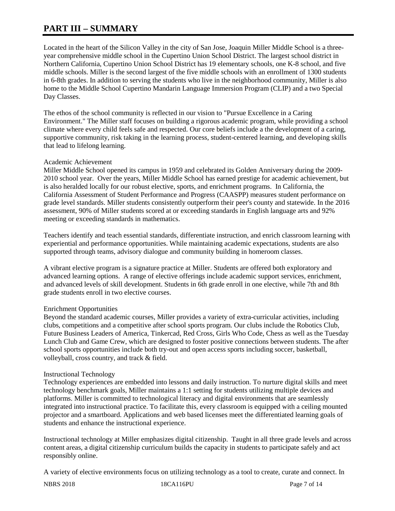# **PART III – SUMMARY**

Located in the heart of the Silicon Valley in the city of San Jose, Joaquin Miller Middle School is a threeyear comprehensive middle school in the Cupertino Union School District. The largest school district in Northern California, Cupertino Union School District has 19 elementary schools, one K-8 school, and five middle schools. Miller is the second largest of the five middle schools with an enrollment of 1300 students in 6-8th grades. In addition to serving the students who live in the neighborhood community, Miller is also home to the Middle School Cupertino Mandarin Language Immersion Program (CLIP) and a two Special Day Classes.

The ethos of the school community is reflected in our vision to "Pursue Excellence in a Caring Environment." The Miller staff focuses on building a rigorous academic program, while providing a school climate where every child feels safe and respected. Our core beliefs include a the development of a caring, supportive community, risk taking in the learning process, student-centered learning, and developing skills that lead to lifelong learning.

#### Academic Achievement

Miller Middle School opened its campus in 1959 and celebrated its Golden Anniversary during the 2009- 2010 school year. Over the years, Miller Middle School has earned prestige for academic achievement, but is also heralded locally for our robust elective, sports, and enrichment programs. In California, the California Assessment of Student Performance and Progress (CAASPP) measures student performance on grade level standards. Miller students consistently outperform their peer's county and statewide. In the 2016 assessment, 90% of Miller students scored at or exceeding standards in English language arts and 92% meeting or exceeding standards in mathematics.

Teachers identify and teach essential standards, differentiate instruction, and enrich classroom learning with experiential and performance opportunities. While maintaining academic expectations, students are also supported through teams, advisory dialogue and community building in homeroom classes.

A vibrant elective program is a signature practice at Miller. Students are offered both exploratory and advanced learning options. A range of elective offerings include academic support services, enrichment, and advanced levels of skill development. Students in 6th grade enroll in one elective, while 7th and 8th grade students enroll in two elective courses.

## Enrichment Opportunities

Beyond the standard academic courses, Miller provides a variety of extra-curricular activities, including clubs, competitions and a competitive after school sports program. Our clubs include the Robotics Club, Future Business Leaders of America, Tinkercad, Red Cross, Girls Who Code, Chess as well as the Tuesday Lunch Club and Game Crew, which are designed to foster positive connections between students. The after school sports opportunities include both try-out and open access sports including soccer, basketball, volleyball, cross country, and track & field.

#### Instructional Technology

Technology experiences are embedded into lessons and daily instruction. To nurture digital skills and meet technology benchmark goals, Miller maintains a 1:1 setting for students utilizing multiple devices and platforms. Miller is committed to technological literacy and digital environments that are seamlessly integrated into instructional practice. To facilitate this, every classroom is equipped with a ceiling mounted projector and a smartboard. Applications and web based licenses meet the differentiated learning goals of students and enhance the instructional experience.

Instructional technology at Miller emphasizes digital citizenship. Taught in all three grade levels and across content areas, a digital citizenship curriculum builds the capacity in students to participate safely and act responsibly online.

A variety of elective environments focus on utilizing technology as a tool to create, curate and connect. In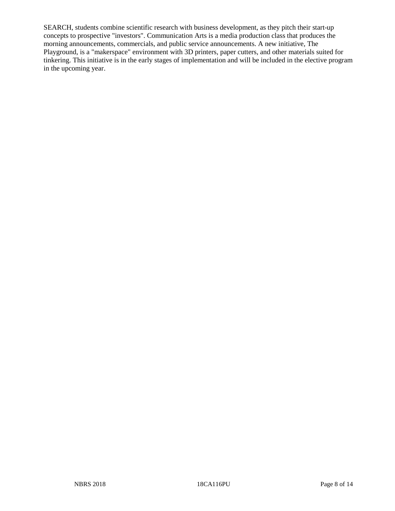SEARCH, students combine scientific research with business development, as they pitch their start-up concepts to prospective "investors". Communication Arts is a media production class that produces the morning announcements, commercials, and public service announcements. A new initiative, The Playground, is a "makerspace" environment with 3D printers, paper cutters, and other materials suited for tinkering. This initiative is in the early stages of implementation and will be included in the elective program in the upcoming year.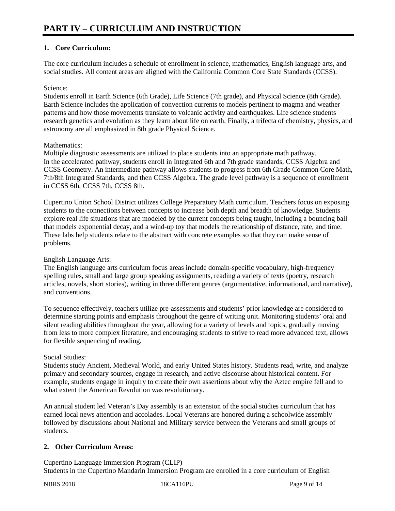## **1. Core Curriculum:**

The core curriculum includes a schedule of enrollment in science, mathematics, English language arts, and social studies. All content areas are aligned with the California Common Core State Standards (CCSS).

#### Science:

Students enroll in Earth Science (6th Grade), Life Science (7th grade), and Physical Science (8th Grade). Earth Science includes the application of convection currents to models pertinent to magma and weather patterns and how those movements translate to volcanic activity and earthquakes. Life science students research genetics and evolution as they learn about life on earth. Finally, a trifecta of chemistry, physics, and astronomy are all emphasized in 8th grade Physical Science.

#### Mathematics:

Multiple diagnostic assessments are utilized to place students into an appropriate math pathway. In the accelerated pathway, students enroll in Integrated 6th and 7th grade standards, CCSS Algebra and CCSS Geometry. An intermediate pathway allows students to progress from 6th Grade Common Core Math, 7th/8th Integrated Standards, and then CCSS Algebra. The grade level pathway is a sequence of enrollment in CCSS 6th, CCSS 7th, CCSS 8th.

Cupertino Union School District utilizes College Preparatory Math curriculum. Teachers focus on exposing students to the connections between concepts to increase both depth and breadth of knowledge. Students explore real life situations that are modeled by the current concepts being taught, including a bouncing ball that models exponential decay, and a wind-up toy that models the relationship of distance, rate, and time. These labs help students relate to the abstract with concrete examples so that they can make sense of problems.

English Language Arts:

The English language arts curriculum focus areas include domain-specific vocabulary, high-frequency spelling rules, small and large group speaking assignments, reading a variety of texts (poetry, research articles, novels, short stories), writing in three different genres (argumentative, informational, and narrative), and conventions.

To sequence effectively, teachers utilize pre-assessments and students' prior knowledge are considered to determine starting points and emphasis throughout the genre of writing unit. Monitoring students' oral and silent reading abilities throughout the year, allowing for a variety of levels and topics, gradually moving from less to more complex literature, and encouraging students to strive to read more advanced text, allows for flexible sequencing of reading.

#### Social Studies:

Students study Ancient, Medieval World, and early United States history. Students read, write, and analyze primary and secondary sources, engage in research, and active discourse about historical content. For example, students engage in inquiry to create their own assertions about why the Aztec empire fell and to what extent the American Revolution was revolutionary.

An annual student led Veteran's Day assembly is an extension of the social studies curriculum that has earned local news attention and accolades. Local Veterans are honored during a schoolwide assembly followed by discussions about National and Military service between the Veterans and small groups of students.

## **2. Other Curriculum Areas:**

Cupertino Language Immersion Program (CLIP) Students in the Cupertino Mandarin Immersion Program are enrolled in a core curriculum of English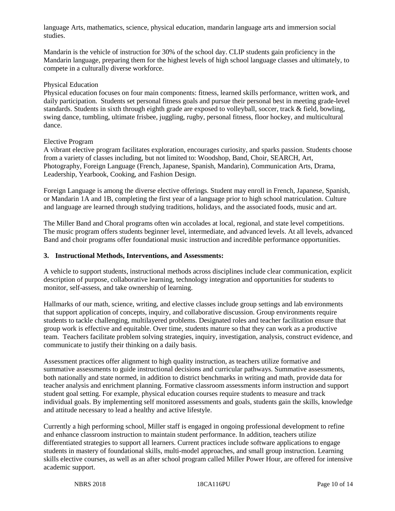language Arts, mathematics, science, physical education, mandarin language arts and immersion social studies.

Mandarin is the vehicle of instruction for 30% of the school day. CLIP students gain proficiency in the Mandarin language, preparing them for the highest levels of high school language classes and ultimately, to compete in a culturally diverse workforce.

#### Physical Education

Physical education focuses on four main components: fitness, learned skills performance, written work, and daily participation. Students set personal fitness goals and pursue their personal best in meeting grade-level standards. Students in sixth through eighth grade are exposed to volleyball, soccer, track & field, bowling, swing dance, tumbling, ultimate frisbee, juggling, rugby, personal fitness, floor hockey, and multicultural dance.

#### Elective Program

A vibrant elective program facilitates exploration, encourages curiosity, and sparks passion. Students choose from a variety of classes including, but not limited to: Woodshop, Band, Choir, SEARCH, Art, Photography, Foreign Language (French, Japanese, Spanish, Mandarin), Communication Arts, Drama, Leadership, Yearbook, Cooking, and Fashion Design.

Foreign Language is among the diverse elective offerings. Student may enroll in French, Japanese, Spanish, or Mandarin 1A and 1B, completing the first year of a language prior to high school matriculation. Culture and language are learned through studying traditions, holidays, and the associated foods, music and art.

The Miller Band and Choral programs often win accolades at local, regional, and state level competitions. The music program offers students beginner level, intermediate, and advanced levels. At all levels, advanced Band and choir programs offer foundational music instruction and incredible performance opportunities.

#### **3. Instructional Methods, Interventions, and Assessments:**

A vehicle to support students, instructional methods across disciplines include clear communication, explicit description of purpose, collaborative learning, technology integration and opportunities for students to monitor, self-assess, and take ownership of learning.

Hallmarks of our math, science, writing, and elective classes include group settings and lab environments that support application of concepts, inquiry, and collaborative discussion. Group environments require students to tackle challenging, multilayered problems. Designated roles and teacher facilitation ensure that group work is effective and equitable. Over time, students mature so that they can work as a productive team. Teachers facilitate problem solving strategies, inquiry, investigation, analysis, construct evidence, and communicate to justify their thinking on a daily basis.

Assessment practices offer alignment to high quality instruction, as teachers utilize formative and summative assessments to guide instructional decisions and curricular pathways. Summative assessments, both nationally and state normed, in addition to district benchmarks in writing and math, provide data for teacher analysis and enrichment planning. Formative classroom assessments inform instruction and support student goal setting. For example, physical education courses require students to measure and track individual goals. By implementing self monitored assessments and goals, students gain the skills, knowledge and attitude necessary to lead a healthy and active lifestyle.

Currently a high performing school, Miller staff is engaged in ongoing professional development to refine and enhance classroom instruction to maintain student performance. In addition, teachers utilize differentiated strategies to support all learners. Current practices include software applications to engage students in mastery of foundational skills, multi-model approaches, and small group instruction. Learning skills elective courses, as well as an after school program called Miller Power Hour, are offered for intensive academic support.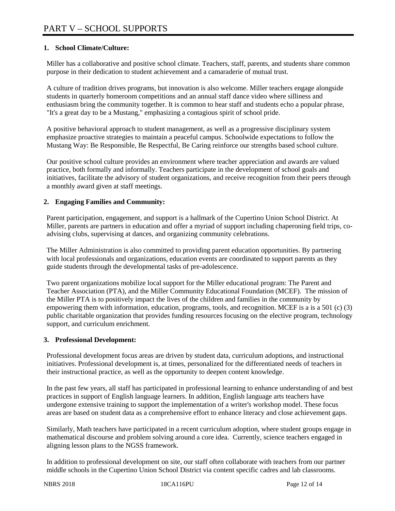### **1. School Climate/Culture:**

Miller has a collaborative and positive school climate. Teachers, staff, parents, and students share common purpose in their dedication to student achievement and a camaraderie of mutual trust.

A culture of tradition drives programs, but innovation is also welcome. Miller teachers engage alongside students in quarterly homeroom competitions and an annual staff dance video where silliness and enthusiasm bring the community together. It is common to hear staff and students echo a popular phrase, "It's a great day to be a Mustang," emphasizing a contagious spirit of school pride.

A positive behavioral approach to student management, as well as a progressive disciplinary system emphasize proactive strategies to maintain a peaceful campus. Schoolwide expectations to follow the Mustang Way: Be Responsible, Be Respectful, Be Caring reinforce our strengths based school culture.

Our positive school culture provides an environment where teacher appreciation and awards are valued practice, both formally and informally. Teachers participate in the development of school goals and initiatives, facilitate the advisory of student organizations, and receive recognition from their peers through a monthly award given at staff meetings.

#### **2. Engaging Families and Community:**

Parent participation, engagement, and support is a hallmark of the Cupertino Union School District. At Miller, parents are partners in education and offer a myriad of support including chaperoning field trips, coadvising clubs, supervising at dances, and organizing community celebrations.

The Miller Administration is also committed to providing parent education opportunities. By partnering with local professionals and organizations, education events are coordinated to support parents as they guide students through the developmental tasks of pre-adolescence.

Two parent organizations mobilize local support for the Miller educational program: The Parent and Teacher Association (PTA), and the Miller Community Educational Foundation (MCEF). The mission of the Miller PTA is to positively impact the lives of the children and families in the community by empowering them with information, education, programs, tools, and recognition. MCEF is a is a 501 (c) (3) public charitable organization that provides funding resources focusing on the elective program, technology support, and curriculum enrichment.

#### **3. Professional Development:**

Professional development focus areas are driven by student data, curriculum adoptions, and instructional initiatives. Professional development is, at times, personalized for the differentiated needs of teachers in their instructional practice, as well as the opportunity to deepen content knowledge.

In the past few years, all staff has participated in professional learning to enhance understanding of and best practices in support of English language learners. In addition, English language arts teachers have undergone extensive training to support the implementation of a writer's workshop model. These focus areas are based on student data as a comprehensive effort to enhance literacy and close achievement gaps.

Similarly, Math teachers have participated in a recent curriculum adoption, where student groups engage in mathematical discourse and problem solving around a core idea. Currently, science teachers engaged in aligning lesson plans to the NGSS framework.

In addition to professional development on site, our staff often collaborate with teachers from our partner middle schools in the Cupertino Union School District via content specific cadres and lab classrooms.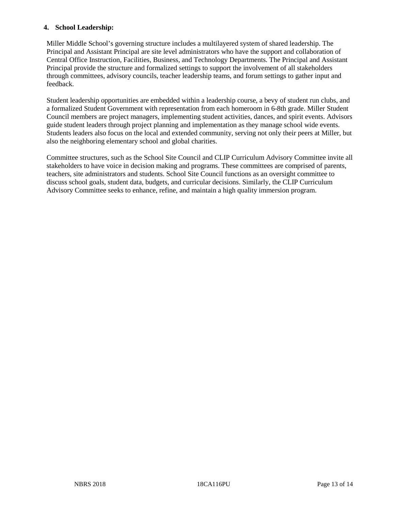#### **4. School Leadership:**

Miller Middle School's governing structure includes a multilayered system of shared leadership. The Principal and Assistant Principal are site level administrators who have the support and collaboration of Central Office Instruction, Facilities, Business, and Technology Departments. The Principal and Assistant Principal provide the structure and formalized settings to support the involvement of all stakeholders through committees, advisory councils, teacher leadership teams, and forum settings to gather input and feedback.

Student leadership opportunities are embedded within a leadership course, a bevy of student run clubs, and a formalized Student Government with representation from each homeroom in 6-8th grade. Miller Student Council members are project managers, implementing student activities, dances, and spirit events. Advisors guide student leaders through project planning and implementation as they manage school wide events. Students leaders also focus on the local and extended community, serving not only their peers at Miller, but also the neighboring elementary school and global charities.

Committee structures, such as the School Site Council and CLIP Curriculum Advisory Committee invite all stakeholders to have voice in decision making and programs. These committees are comprised of parents, teachers, site administrators and students. School Site Council functions as an oversight committee to discuss school goals, student data, budgets, and curricular decisions. Similarly, the CLIP Curriculum Advisory Committee seeks to enhance, refine, and maintain a high quality immersion program.